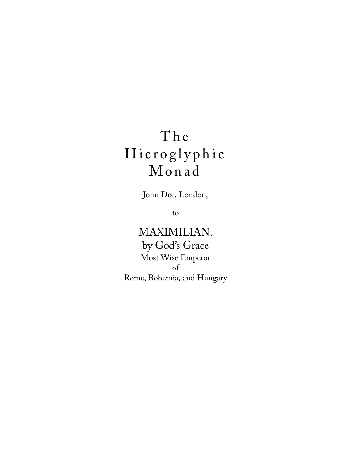John Dee, London,

to

MAXIMILIAN, by God's Grace Most Wise Emperor of Rome, Bohemia, and Hungary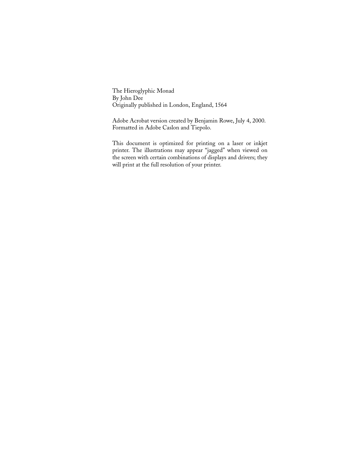The Hieroglyphic Monad By John Dee Originally published in London, England, 1564

Adobe Acrobat version created by Benjamin Rowe, July 4, 2000. Formatted in Adobe Caslon and Tiepolo.

This document is optimized for printing on a laser or inkjet printer. The illustrations may appear "jagged" when viewed on the screen with certain combinations of displays and drivers; they will print at the full resolution of your printer.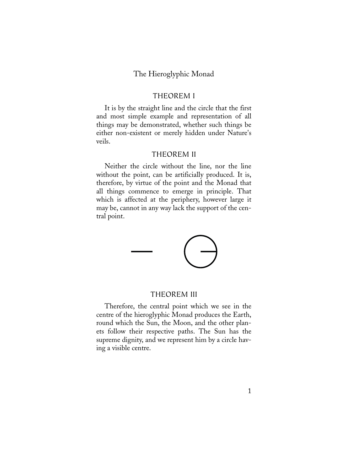#### THEOREM I

It is by the straight line and the circle that the first and most simple example and representation of all things may be demonstrated, whether such things be either non-existent or merely hidden under Nature's veils.

#### THEOREM II

Neither the circle without the line, nor the line without the point, can be artificially produced. It is, therefore, by virtue of the point and the Monad that all things commence to emerge in principle. That which is affected at the periphery, however large it may be, cannot in any way lack the support of the central point.



#### THEOREM III

Therefore, the central point which we see in the centre of the hieroglyphic Monad produces the Earth, round which the Sun, the Moon, and the other planets follow their respective paths. The Sun has the supreme dignity, and we represent him by a circle having a visible centre.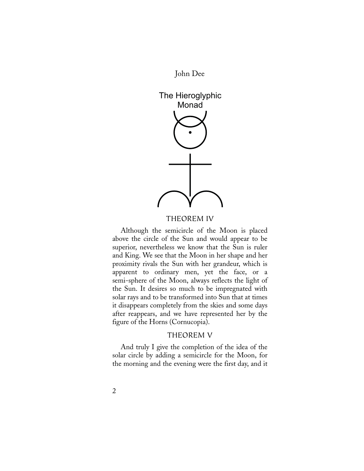

THEOREM IV

Although the semicircle of the Moon is placed above the circle of the Sun and would appear to be superior, nevertheless we know that the Sun is ruler and King. We see that the Moon in her shape and her proximity rivals the Sun with her grandeur, which is apparent to ordinary men, yet the face, or a semi-sphere of the Moon, always reflects the light of the Sun. It desires so much to be impregnated with solar rays and to be transformed into Sun that at times it disappears completely from the skies and some days after reappears, and we have represented her by the figure of the Horns (Cornucopia).

#### THEOREM V

And truly I give the completion of the idea of the solar circle by adding a semicircle for the Moon, for the morning and the evening were the first day, and it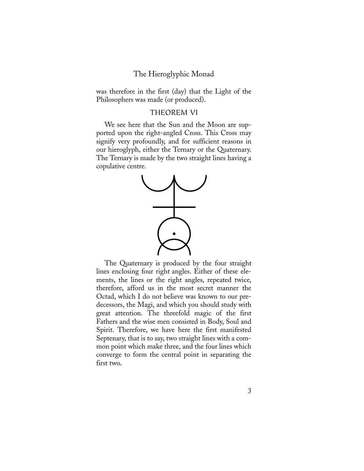was therefore in the first (day) that the Light of the Philosophers was made (or produced).

#### THEOREM VI

We see here that the Sun and the Moon are supported upon the right-angled Cross. This Cross may signify very profoundly, and for sufficient reasons in our hieroglyph, either the Ternary or the Quaternary. The Ternary is made by the two straight lines having a copulative centre.



The Quaternary is produced by the four straight lines enclosing four right angles. Either of these elements, the lines or the right angles, repeated twice, therefore, afford us in the most secret manner the Octad, which I do not believe was known to our predecessors, the Magi, and which you should study with great attention. The threefold magic of the first Fathers and the wise men consisted in Body, Soul and Spirit. Therefore, we have here the first manifested Septenary, that is to say, two straight lines with a common point which make three, and the four lines which converge to form the central point in separating the first two**.**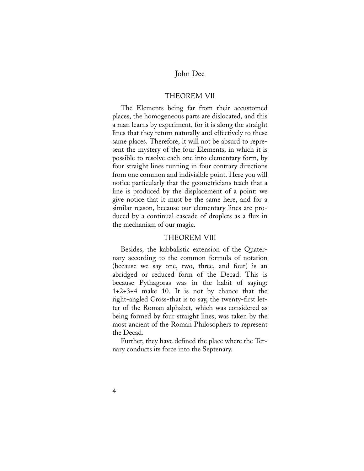#### THEOREM VII

The Elements being far from their accustomed places, the homogeneous parts are dislocated, and this a man learns by experiment, for it is along the straight lines that they return naturally and effectively to these same places. Therefore, it will not be absurd to represent the mystery of the four Elements, in which it is possible to resolve each one into elementary form, by four straight lines running in four contrary directions from one common and indivisible point. Here you will notice particularly that the geometricians teach that a line is produced by the displacement of a point: we give notice that it must be the same here, and for a similar reason, because our elementary lines are produced by a continual cascade of droplets as a flux in the mechanism of our magic.

#### THEOREM VIII

Besides, the kabbalistic extension of the Quaternary according to the common formula of notation (because we say one, two, three, and four) is an abridged or reduced form of the Decad. This is because Pythagoras was in the habit of saying: 1+2+3+4 make 10. It is not by chance that the right-angled Cross-that is to say, the twenty-first letter of the Roman alphabet, which was considered as being formed by four straight lines, was taken by the most ancient of the Roman Philosophers to represent the Decad.

Further, they have defined the place where the Ternary conducts its force into the Septenary.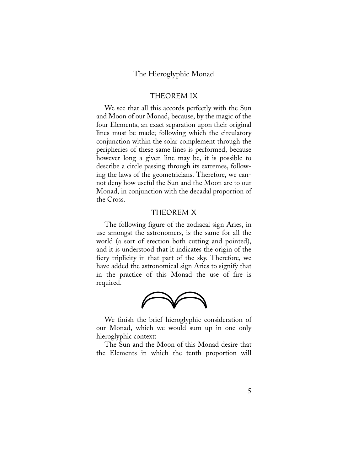#### THEOREM IX

We see that all this accords perfectly with the Sun and Moon of our Monad, because, by the magic of the four Elements, an exact separation upon their original lines must be made; following which the circulatory conjunction within the solar complement through the peripheries of these same lines is performed, because however long a given line may be, it is possible to describe a circle passing through its extremes, following the laws of the geometricians. Therefore, we cannot deny how useful the Sun and the Moon are to our Monad, in conjunction with the decadal proportion of the Cross.

#### THEOREM X

The following figure of the zodiacal sign Aries, in use amongst the astronomers, is the same for all the world (a sort of erection both cutting and pointed), and it is understood that it indicates the origin of the fiery triplicity in that part of the sky. Therefore, we have added the astronomical sign Aries to signify that in the practice of this Monad the use of fire is required.



We finish the brief hieroglyphic consideration of our Monad, which we would sum up in one only hieroglyphic context:

The Sun and the Moon of this Monad desire that the Elements in which the tenth proportion will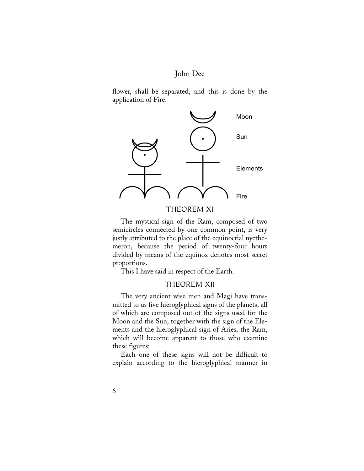[flower, shall be separated,](#page-8-0) and this is done by the application of Fire.



THEOREM XI

The mystical sign of the Ram, composed of two semicircles connected by one common point, is very justly attributed to the place of the equinoctial nycthemeron, because the period of twenty-four hours divided by means of the equinox denotes most secret proportions.

This I have said in respect of the Earth.

#### THEOREM XII

The very ancient wise men and Magi have transmitted to us five hieroglyphical signs of the planets, all of which are composed out of the signs used for the [Moon and the Sun, together with the sign of the Ele](#page-8-0)ments and the hieroglyphical sign of Aries, the Ram, which will become apparent to those who examine these figures:

Each one of these signs will not be difficult to explain according to the hieroglyphical manner in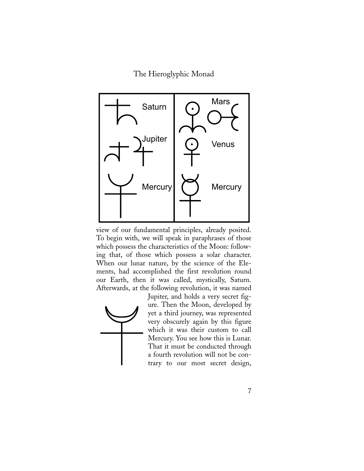<span id="page-8-0"></span>

view of our fundamental principles, already posited. To begin with, we will speak in paraphrases of those which possess the characteristics of the Moon: following that, of those which possess a solar character. When our lunar nature, by the science of the Elements, had accomplished the first revolution round our Earth, then it was called, mystically, Saturn. Afterwards, at the following revolution, it was named



Jupiter, and holds a very secret figure. Then the Moon, developed by yet a third journey, was represented very obscurely again by this figure which it was their custom to call Mercury. You see how this is Lunar. That it must be conducted through a fourth revolution will not be contrary to our most secret design,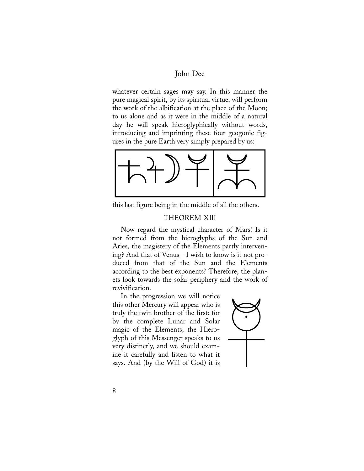whatever certain sages may say. In this manner the pure magical spirit, by its spiritual virtue, will perform the work of the albification at the place of the Moon; to us alone and as it were in the middle of a natural day he will speak hieroglyphically without words, introducing and imprinting these four geogonic figures in the pure Earth very simply prepared by us:



this last figure being in the middle of all the others.

#### THEOREM XIII

Now regard the mystical character of Mars! Is it not formed from the hieroglyphs of the Sun and Aries, the magistery of the Elements partly intervening? And that of Venus - I wish to know is it not produced from that of the Sun and the Elements according to the best exponents? Therefore, the planets look towards the solar periphery and the work of revivification.

In the progression we will notice this other Mercury will appear who is truly the twin brother of the first: for by the complete Lunar and Solar magic of the Elements, the Hieroglyph of this Messenger speaks to us very distinctly, and we should examine it carefully and listen to what it says. And (by the Will of God) it is

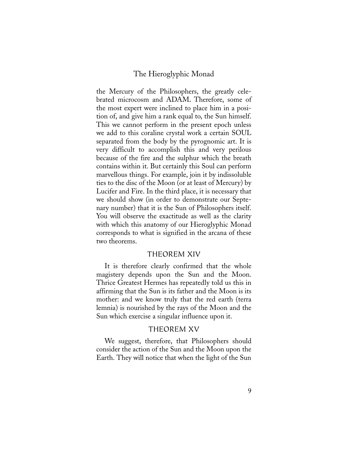the Mercury of the Philosophers, the greatly celebrated microcosm and ADAM**.** Therefore, some of the most expert were inclined to place him in a position of, and give him a rank equal to, the Sun himself. This we cannot perform in the present epoch unless we add to this coraline crystal work a certain SOUL separated from the body by the pyrognomic art. It is very difficult to accomplish this and very perilous because of the fire and the sulphur which the breath contains within it. But certainly this Soul can perform marvellous things. For example, join it by indissoluble ties to the disc of the Moon (or at least of Mercury) by Lucifer and Fire. In the third place, it is necessary that we should show (in order to demonstrate our Septenary number) that it is the Sun of Philosophers itself. You will observe the exactitude as well as the clarity with which this anatomy of our Hieroglyphic Monad corresponds to what is signified in the arcana of these two theorems.

#### THEOREM XIV

It is therefore clearly confirmed that the whole magistery depends upon the Sun and the Moon. Thrice Greatest Hermes has repeatedly told us this in affirming that the Sun is its father and the Moon is its mother: and we know truly that the red earth (terra lemnia) is nourished by the rays of the Moon and the Sun which exercise a singular influence upon it.

#### THEOREM XV

We suggest, therefore, that Philosophers should consider the action of the Sun and the Moon upon the Earth. They will notice that when the light of the Sun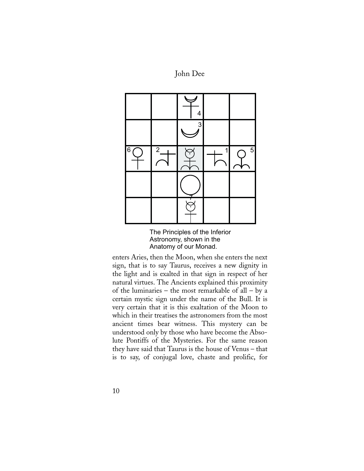John Dee



The Principles of the Inferior Astronomy, shown in the Anatomy of our Monad.

enters Aries, then the Moon, when she enters the next sign, that is to say Taurus, receives a new dignity in the light and is exalted in that sign in respect of her natural virtues. The Ancients explained this proximity of the luminaries – the most remarkable of all – by a certain mystic sign under the name of the Bull. It is very certain that it is this exaltation of the Moon to which in their treatises the astronomers from the most ancient times bear witness. This mystery can be understood only by those who have become the Absolute Pontiffs of the Mysteries. For the same reason they have said that Taurus is the house of Venus – that is to say, of conjugal love, chaste and prolific, for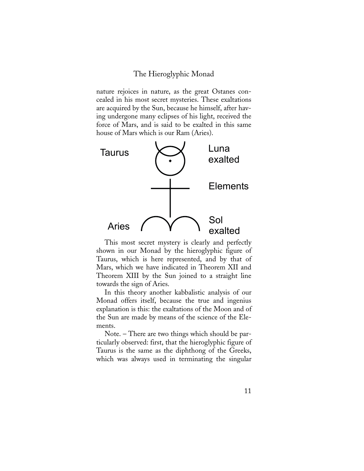nature rejoices in nature, as the great Ostanes concealed in his most secret mysteries. These exaltations are acquired by the Sun, because he himself, after having undergone many eclipses of his light, received the force of Mars, and is said to be exalted in this same house of Mars which is our Ram (Aries).



This most secret mystery is clearly and perfectly shown in our Monad by the hieroglyphic figure of Taurus, which is here represented, and by that of Mars, which we have indicated in Theorem XII and Theorem XIII by the Sun joined to a straight line towards the sign of Aries.

In this theory another kabbalistic analysis of our Monad offers itself, because the true and ingenius explanation is this: the exaltations of the Moon and of the Sun are made by means of the science of the Elements.

Note. – There are two things which should be particularly observed: first, that the hieroglyphic figure of Taurus is the same as the diphthong of the Greeks, which was always used in terminating the singular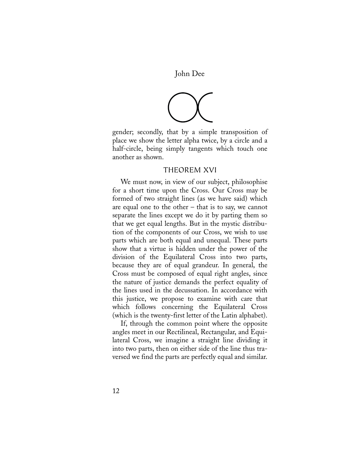

gender; secondly, that by a simple transposition of place we show the letter alpha twice, by a circle and a half-circle, being simply tangents which touch one another as shown.

#### THEOREM XVI

We must now, in view of our subject, philosophise for a short time upon the Cross. Our Cross may be formed of two straight lines (as we have said) which are equal one to the other  $-$  that is to say, we cannot separate the lines except we do it by parting them so that we get equal lengths. But in the mystic distribution of the components of our Cross, we wish to use parts which are both equal and unequal. These parts show that a virtue is hidden under the power of the division of the Equilateral Cross into two parts, because they are of equal grandeur. In general, the Cross must be composed of equal right angles, since the nature of justice demands the perfect equality of the lines used in the decussation. In accordance with this justice, we propose to examine with care that which follows concerning the Equilateral Cross (which is the twenty-first letter of the Latin alphabet).

If, through the common point where the opposite angles meet in our Rectilineal, Rectangular, and Equilateral Cross, we imagine a straight line dividing it into two parts, then on either side of the line thus traversed we find the parts are perfectly equal and similar.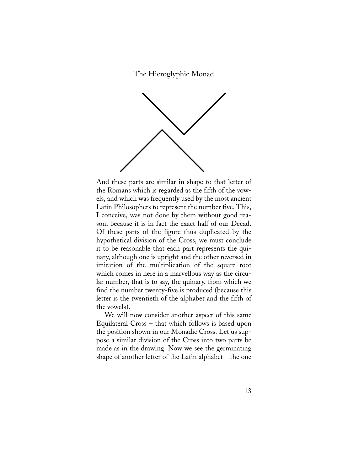

And these parts are similar in shape to that letter of the Romans which is regarded as the fifth of the vowels, and which was frequently used by the most ancient Latin Philosophers to represent the number five. This, I conceive, was not done by them without good reason, because it is in fact the exact half of our Decad. Of these parts of the figure thus duplicated by the hypothetical division of the Cross, we must conclude it to be reasonable that each part represents the quinary, although one is upright and the other reversed in imitation of the multiplication of the square root which comes in here in a marvellous way as the circular number, that is to say, the quinary, from which we find the number twenty-five is produced (because this letter is the twentieth of the alphabet and the fifth of the vowels).

We will now consider another aspect of this same Equilateral Cross – that which follows is based upon the position shown in our Monadic Cross. Let us suppose a similar division of the Cross into two parts be made as in the drawing. Now we see the germinating shape of another letter of the Latin alphabet – the one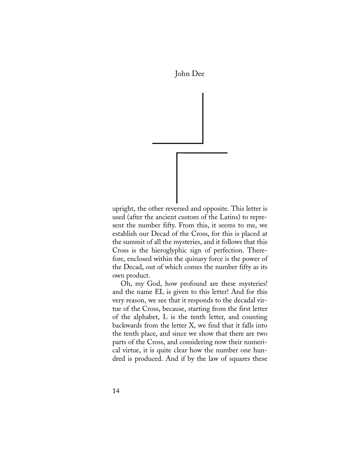

upright, the other reversed and opposite. This letter is used (after the ancient custom of the Latins) to represent the number fifty. From this, it seems to me, we establish our Decad of the Cross, for this is placed at the summit of all the mysteries, and it follows that this Cross is the hieroglyphic sign of perfection. Therefore, enclosed within the quinary force is the power of the Decad, out of which comes the number fifty as its own product.

Oh, my God, how profound are these mysteries! and the name EL is given to this letter! And for this very reason, we see that it responds to the decadal virtue of the Cross, because, starting from the first letter of the alphabet, L is the tenth letter, and counting backwards from the letter X, we find that it falls into the tenth place, and since we show that there are two parts of the Cross, and considering now their numerical virtue, it is quite clear how the number one hundred is produced. And if by the law of squares these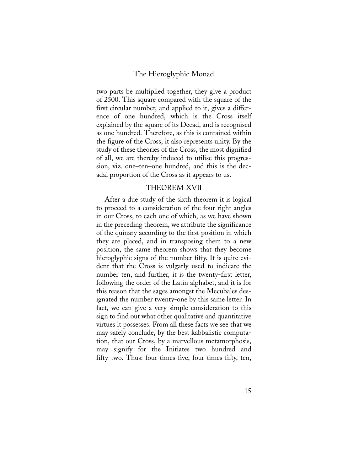two parts be multiplied together, they give a product of 2500. This square compared with the square of the first circular number, and applied to it, gives a difference of one hundred, which is the Cross itself explained by the square of its Decad, and is recognised as one hundred. Therefore, as this is contained within the figure of the Cross, it also represents unity. By the study of these theories of the Cross, the most dignified of all, we are thereby induced to utilise this progression, viz. one–ten–one hundred, and this is the decadal proportion of the Cross as it appears to us.

#### THEOREM XVII

After a due study of the sixth theorem it is logical to proceed to a consideration of the four right angles in our Cross, to each one of which, as we have shown in the preceding theorem, we attribute the significance of the quinary according to the first position in which they are placed, and in transposing them to a new position, the same theorem shows that they become hieroglyphic signs of the number fifty. It is quite evident that the Cross is vulgarly used to indicate the number ten, and further, it is the twenty-first letter, following the order of the Latin alphabet, and it is for this reason that the sages amongst the Mecubales designated the number twenty-one by this same letter. In fact, we can give a very simple consideration to this sign to find out what other qualitative and quantitative virtues it possesses. From all these facts we see that we may safely conclude, by the best kabbalistic computation, that our Cross, by a marvellous metamorphosis, may signify for the Initiates two hundred and fifty-two. Thus: four times five, four times fifty, ten,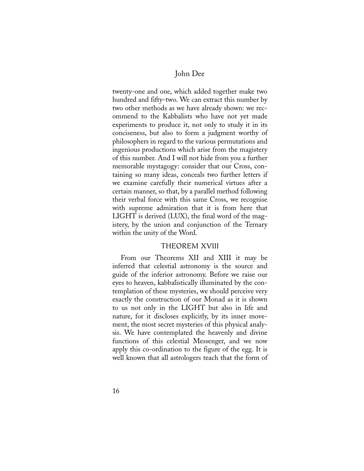twenty-one and one, which added together make two hundred and fifty-two. We can extract this number by two other methods as we have already shown: we recommend to the Kabbalists who have not yet made experiments to produce it, not only to study it in its conciseness, but also to form a judgment worthy of philosophers in regard to the various permutations and ingenious productions which arise from the magistery of this number. And I will not hide from you a further memorable mystagogy: consider that our Cross, containing so many ideas, conceals two further letters if we examine carefully their numerical virtues after a certain manner, so that, by a parallel method following their verbal force with this same Cross, we recognise with supreme admiration that it is from here that LIGHT is derived (LUX), the final word of the magistery, by the union and conjunction of the Ternary within the unity of the Word.

#### THEOREM XVIII

From our Theorems XII and XIII it may be inferred that celestial astronomy is the source and guide of the inferior astronomy. Before we raise our eyes to heaven, kabbalistically illuminated by the contemplation of these mysteries, we should perceive very exactly the construction of our Monad as it is shown to us not only in the LIGHT but also in life and nature, for it discloses explicitly, by its inner movement, the most secret mysteries of this physical analysis. We have contemplated the heavenly and divine functions of this celestial Messenger, and we now apply this co-ordination to the figure of the egg. It is well known that all astrologers teach that the form of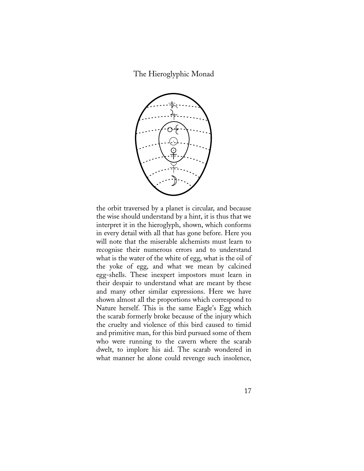

the orbit traversed by a planet is circular, and because the wise should understand by a hint, it is thus that we interpret it in the hieroglyph, shown, which conforms in every detail with all that has gone before. Here you will note that the miserable alchemists must learn to recognise their numerous errors and to understand what is the water of the white of egg, what is the oil of the yoke of egg, and what we mean by calcined egg-shells. These inexpert impostors must learn in their despair to understand what are meant by these and many other similar expressions. Here we have shown almost all the proportions which correspond to Nature herself. This is the same Eagle's Egg which the scarab formerly broke because of the injury which the cruelty and violence of this bird caused to timid and primitive man, for this bird pursued some of them who were running to the cavern where the scarab dwelt, to implore his aid. The scarab wondered in what manner he alone could revenge such insolence,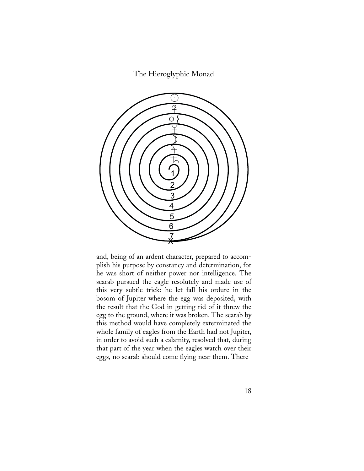

and, being of an ardent character, prepared to accomplish his purpose by constancy and determination, for he was short of neither power nor intelligence. The scarab pursued the eagle resolutely and made use of this very subtle trick: he let fall his ordure in the bosom of Jupiter where the egg was deposited, with the result that the God in getting rid of it threw the egg to the ground, where it was broken. The scarab by this method would have completely exterminated the whole family of eagles from the Earth had not Jupiter, in order to avoid such a calamity, resolved that, during that part of the year when the eagles watch over their eggs, no scarab should come flying near them. There-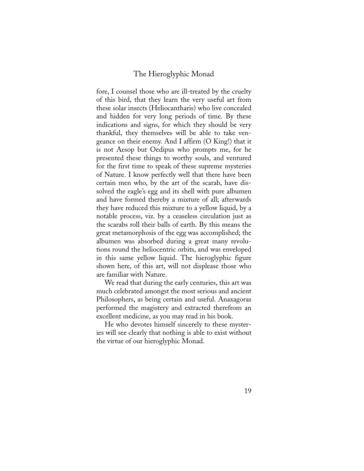fore, I counsel those who are ill-treated by the cruelty of this bird, that they learn the very useful art from these solar insects (Heliocantharis) who live concealed and hidden for very long periods of time. By these indications and signs, for which they should be very thankful, they themselves will be able to take vengeance on their enemy. And I affirm (O King!) that it is not Aesop but Oedipus who prompts me, for he presented these things to worthy souls, and ventured for the first time to speak of these supreme mysteries of Nature. I know perfectly well that there have been certain men who, by the art of the scarab, have dissolved the eagle's egg and its shell with pure albumen and have formed thereby a mixture of all; afterwards they have reduced this mixture to a yellow liquid, by a notable process, viz. by a ceaseless circulation just as the scarabs roll their balls of earth. By this means the great metamorphosis of the egg was accomplished; the albumen was absorbed during a great many revolutions round the heliocentric orbits, and was enveloped in this same yellow liquid. The hieroglyphic figure shown here, of this art, will not displease those who are familiar with Nature.

We read that during the early centuries, this art was much celebrated amongst the most serious and ancient Philosophers, as being certain and useful. Anaxagoras performed the magistery and extracted therefrom an excellent medicine, as you may read in his book.

He who devotes himself sincerely to these mysteries will see clearly that nothing is able to exist without the virtue of our hieroglyphic Monad.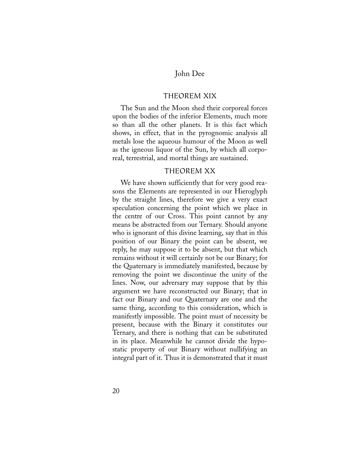#### THEOREM XIX

The Sun and the Moon shed their corporeal forces upon the bodies of the inferior Elements, much more so than all the other planets. It is this fact which shows, in effect, that in the pyrognomic analysis all metals lose the aqueous humour of the Moon as well as the igneous liquor of the Sun, by which all corporeal, terrestrial, and mortal things are sustained.

#### THEOREM XX

We have shown sufficiently that for very good reasons the Elements are represented in our Hieroglyph by the straight lines, therefore we give a very exact speculation concerning the point which we place in the centre of our Cross. This point cannot by any means be abstracted from our Ternary. Should anyone who is ignorant of this divine learning, say that in this position of our Binary the point can be absent, we reply, he may suppose it to be absent, but that which remains without it will certainly not be our Binary; for the Quaternary is immediately manifested, because by removing the point we discontinue the unity of the lines. Now, our adversary may suppose that by this argument we have reconstructed our Binary; that in fact our Binary and our Quaternary are one and the same thing, according to this consideration, which is manifestly impossible. The point must of necessity be present, because with the Binary it constitutes our Ternary, and there is nothing that can be substituted in its place. Meanwhile he cannot divide the hypostatic property of our Binary without nullifying an integral part of it. Thus it is demonstrated that it must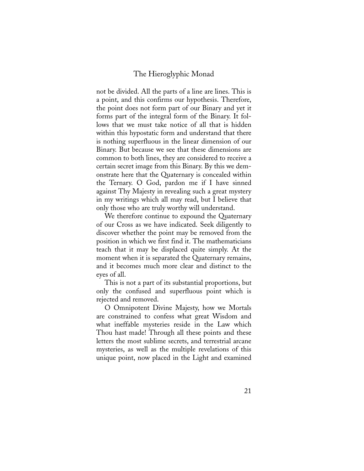not be divided. All the parts of a line are lines. This is a point, and this confirms our hypothesis. Therefore, the point does not form part of our Binary and yet it forms part of the integral form of the Binary. It follows that we must take notice of all that is hidden within this hypostatic form and understand that there is nothing superfluous in the linear dimension of our Binary. But because we see that these dimensions are common to both lines, they are considered to receive a certain secret image from this Binary. By this we demonstrate here that the Quaternary is concealed within the Ternary. O God, pardon me if I have sinned against Thy Majesty in revealing such a great mystery in my writings which all may read, but I believe that only those who are truly worthy will understand.

We therefore continue to expound the Quaternary of our Cross as we have indicated. Seek diligently to discover whether the point may be removed from the position in which we first find it. The mathematicians teach that it may be displaced quite simply. At the moment when it is separated the Quaternary remains, and it becomes much more clear and distinct to the eyes of all.

This is not a part of its substantial proportions, but only the confused and superfluous point which is rejected and removed.

O Omnipotent Divine Majesty, how we Mortals are constrained to confess what great Wisdom and what ineffable mysteries reside in the Law which Thou hast made! Through all these points and these letters the most sublime secrets, and terrestrial arcane mysteries, as well as the multiple revelations of this unique point, now placed in the Light and examined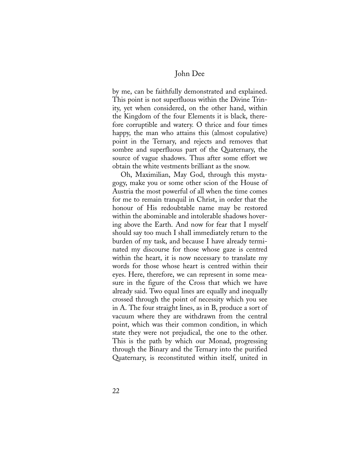by me, can be faithfully demonstrated and explained. This point is not superfluous within the Divine Trinity, yet when considered, on the other hand, within the Kingdom of the four Elements it is black, therefore corruptible and watery. O thrice and four times happy, the man who attains this (almost copulative) point in the Ternary, and rejects and removes that sombre and superfluous part of the Quaternary, the source of vague shadows. Thus after some effort we obtain the white vestments brilliant as the snow.

Oh, Maximilian, May God, through this mystagogy, make you or some other scion of the House of Austria the most powerful of all when the time comes for me to remain tranquil in Christ, in order that the honour of His redoubtable name may be restored within the abominable and intolerable shadows hovering above the Earth. And now for fear that I myself should say too much I shall immediately return to the burden of my task, and because I have already terminated my discourse for those whose gaze is centred within the heart, it is now necessary to translate my words for those whose heart is centred within their eyes. Here, therefore, we can represent in some measure in the figure of the Cross that which we have already said. Two equal lines are equally and inequally crossed through the point of necessity which you see in A. The four straight lines, as in B, produce a sort of vacuum where they are withdrawn from the central point, which was their common condition, in which state they were not prejudical, the one to the other. This is the path by which our Monad, progressing through the Binary and the Ternary into the purified Quaternary, is reconstituted within itself, united in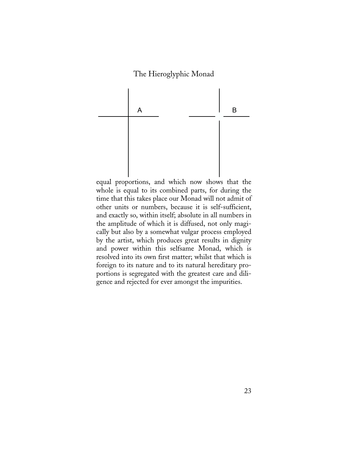

equal proportions, and which now shows that the whole is equal to its combined parts, for during the time that this takes place our Monad will not admit of other units or numbers, because it is self-sufficient, and exactly so, within itself; absolute in all numbers in the amplitude of which it is diffused, not only magically but also by a somewhat vulgar process employed by the artist, which produces great results in dignity and power within this selfsame Monad, which is resolved into its own first matter; whilst that which is foreign to its nature and to its natural hereditary proportions is segregated with the greatest care and diligence and rejected for ever amongst the impurities.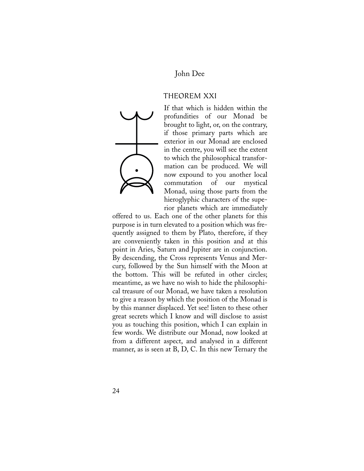#### THEOREM XXI

If that which is hidden within the profundities of our Monad be brought to light, or, on the contrary, if those primary parts which are exterior in our Monad are enclosed in the centre, you will see the extent to which the philosophical transformation can be produced. We will now expound to you another local commutation of our mystical Monad, using those parts from the hieroglyphic characters of the superior planets which are immediately

offered to us. Each one of the other planets for this purpose is in turn elevated to a position which was frequently assigned to them by Plato, therefore, if they are conveniently taken in this position and at this point in Aries, Saturn and Jupiter are in conjunction. By descending, the Cross represents Venus and Mercury, followed by the Sun himself with the Moon at the bottom. This will be refuted in other circles; meantime, as we have no wish to hide the philosophical treasure of our Monad, we have taken a resolution to give a reason by which the position of the Monad is by this manner displaced. Yet see! listen to these other great secrets which I know and will disclose to assist you as touching this position, which I can explain in few words. We distribute our Monad, now looked at from a different aspect, and analysed in a different manner, as is seen at B, D, C. In this new Ternary the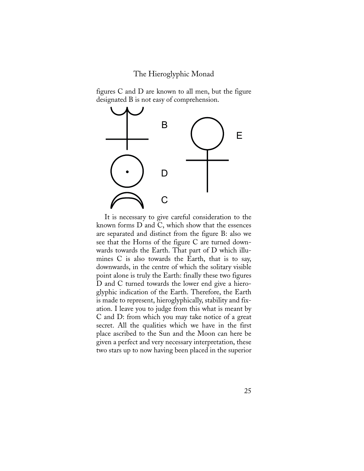figures C and D are known to all men, but the figure designated B is not easy of comprehension.



It is necessary to give careful consideration to the known forms D and C, which show that the essences are separated and distinct from the figure B: also we see that the Horns of the figure C are turned downwards towards the Earth. That part of D which illumines C is also towards the Earth, that is to say, downwards, in the centre of which the solitary visible point alone is truly the Earth: finally these two figures D and C turned towards the lower end give a hieroglyphic indication of the Earth. Therefore, the Earth is made to represent, hieroglyphically, stability and fixation. I leave you to judge from this what is meant by C and D: from which you may take notice of a great secret. All the qualities which we have in the first place ascribed to the Sun and the Moon can here be given a perfect and very necessary interpretation, these two stars up to now having been placed in the superior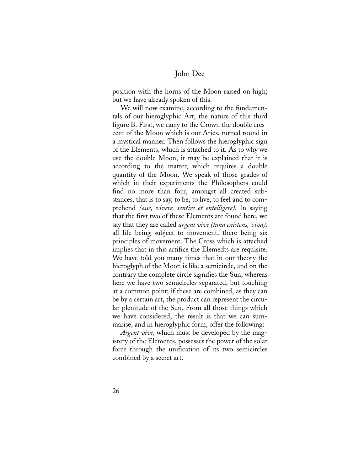position with the horns of the Moon raised on high; but we have already spoken of this.

We will now examine, according to the fundamentals of our hieroglyphic Art, the nature of this third figure B. First, we carry to the Crown the double crescent of the Moon which is our Aries, turned round in a mystical manner. Then follows the hieroglyphic sign of the Elements, which is attached to it. As to why we use the double Moon, it may be explained that it is according to the matter, which requires a double quantity of the Moon. We speak of those grades of which in their experiments the Philosophers could find no more than four, amongst all created substances, that is to say, to be, to live, to feel and to comprehend *(esse, vivere, sentire et entelligere).* In saying that the first two of these Elements are found here, we say that they are called *argent vive (luna existens, viva),* all life being subject to movement, there being six principles of movement. The Cross which is attached implies that in this artifice the Elemedts are requisite. We have told you many times that in our theory the hieroglyph of the Moon is like a semicircle, and on the contrary the complete circle signifies the Sun, whereas here we have two semicircles separated, but touching at a common point; if these are combined, as they can be by a certain art, the product can represent the circular plenitude of the Sun. From all those things which we have considered, the result is that we can summarise, and in hieroglyphic form, offer the following:

*Argent vive,* which must be developed by the magistery of the Elements, possesses the power of the solar force through the unification of its two semicircles combined by a secret art.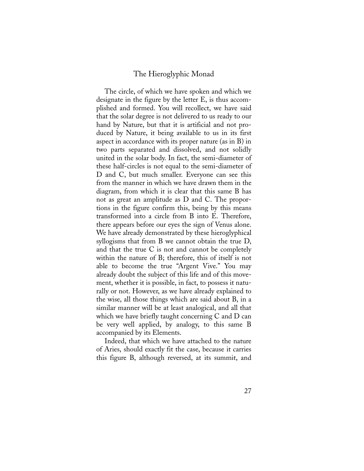The circle, of which we have spoken and which we designate in the figure by the letter E, is thus accomplished and formed. You will recollect, we have said that the solar degree is not delivered to us ready to our hand by Nature, but that it is artificial and not produced by Nature, it being available to us in its first aspect in accordance with its proper nature (as in B) in two parts separated and dissolved, and not solidly united in the solar body. In fact, the semi-diameter of these half-circles is not equal to the semi-diameter of D and C, but much smaller. Everyone can see this from the manner in which we have drawn them in the diagram, from which it is clear that this same B has not as great an amplitude as D and C. The proportions in the figure confirm this, being by this means transformed into a circle from B into E. Therefore, there appears before our eyes the sign of Venus alone. We have already demonstrated by these hieroglyphical syllogisms that from B we cannot obtain the true D, and that the true C is not and cannot be completely within the nature of B; therefore, this of itself is not able to become the true "Argent Vive." You may already doubt the subject of this life and of this movement, whether it is possible, in fact, to possess it naturally or not. However, as we have already explained to the wise, all those things which are said about B, in a similar manner will be at least analogical, and all that which we have briefly taught concerning C and D can be very well applied, by analogy, to this same B accompanied by its Elements.

Indeed, that which we have attached to the nature of Aries, should exactly fit the case, because it carries this figure B, although reversed, at its summit, and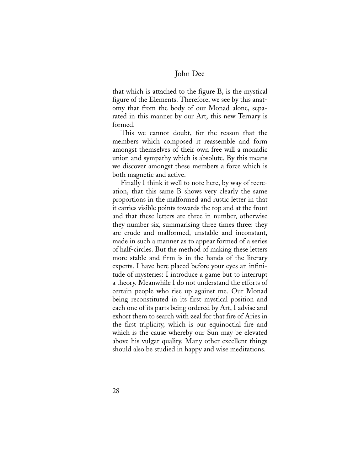that which is attached to the figure B, is the mystical figure of the Elements. Therefore, we see by this anatomy that from the body of our Monad alone, separated in this manner by our Art, this new Ternary is formed.

This we cannot doubt, for the reason that the members which composed it reassemble and form amongst themselves of their own free will a monadic union and sympathy which is absolute. By this means we discover amongst these members a force which is both magnetic and active.

Finally I think it well to note here, by way of recreation, that this same B shows very clearly the same proportions in the malformed and rustic letter in that it carries visible points towards the top and at the front and that these letters are three in number, otherwise they number six, summarising three times three: they are crude and malformed, unstable and inconstant, made in such a manner as to appear formed of a series of half-circles. But the method of making these letters more stable and firm is in the hands of the literary experts. I have here placed before your eyes an infinitude of mysteries: I introduce a game but to interrupt a theory. Meanwhile I do not understand the efforts of certain people who rise up against me. Our Monad being reconstituted in its first mystical position and each one of its parts being ordered by Art, I advise and exhort them to search with zeal for that fire of Aries in the first triplicity, which is our equinoctial fire and which is the cause whereby our Sun may be elevated above his vulgar quality. Many other excellent things should also be studied in happy and wise meditations.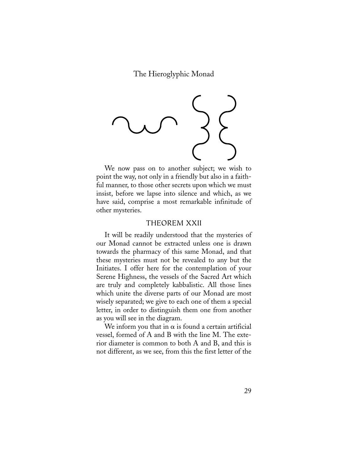We now pass on to another subject; we wish to point the way, not only in a friendly but also in a faithful manner, to those other secrets upon which we must insist, before we lapse into silence and which, as we have said, comprise a most remarkable infinitude of other mysteries.

#### THEOREM XXII

It will be readily understood that the mysteries of our Monad cannot be extracted unless one is drawn towards the pharmacy of this same Monad, and that these mysteries must not be revealed to any but the Initiates. I offer here for the contemplation of your Serene Highness, the vessels of the Sacred Art which are truly and completely kabbalistic. All those lines which unite the diverse parts of our Monad are most wisely separated; we give to each one of them a special letter, in order to distinguish them one from another as you will see in the diagram.

We inform you that in  $\alpha$  is found a certain artificial vessel, formed of A and B with the line M. The exterior diameter is common to both A and B, and this is not different, as we see, from this the first letter of the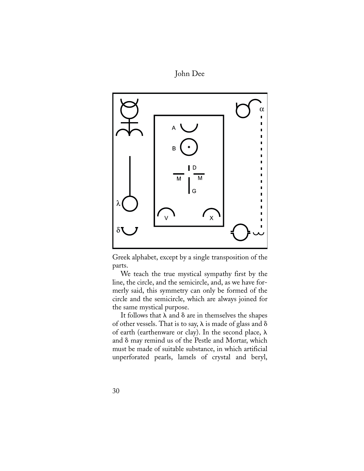John Dee



Greek alphabet, except by a single transposition of the parts.

We teach the true mystical sympathy first by the line, the circle, and the semicircle, and, as we have formerly said, this symmetry can only be formed of the circle and the semicircle, which are always joined for the same mystical purpose.

It follows that  $\lambda$  and  $\delta$  are in themselves the shapes of other vessels. That is to say,  $\lambda$  is made of glass and  $\delta$ of earth (earthenware or clay). In the second place,  $\lambda$ and  $\delta$  may remind us of the Pestle and Mortar, which must be made of suitable substance, in which artificial unperforated pearls, lamels of crystal and beryl,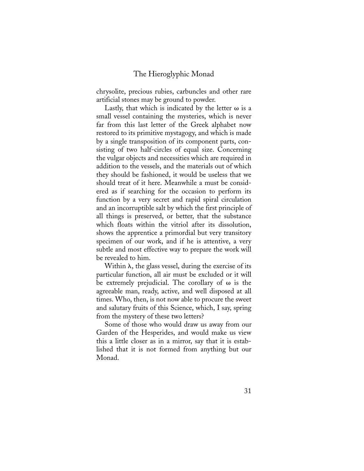chrysolite, precious rubies, carbuncles and other rare artificial stones may be ground to powder.

Lastly, that which is indicated by the letter  $\omega$  is a small vessel containing the mysteries, which is never far from this last letter of the Greek alphabet now restored to its primitive mystagogy, and which is made by a single transposition of its component parts, consisting of two half-circles of equal size. Concerning the vulgar objects and necessities which are required in addition to the vessels, and the materials out of which they should be fashioned, it would be useless that we should treat of it here. Meanwhile a must be considered as if searching for the occasion to perform its function by a very secret and rapid spiral circulation and an incorruptible salt by which the first principle of all things is preserved, or better, that the substance which floats within the vitriol after its dissolution, shows the apprentice a primordial but very transitory specimen of our work, and if he is attentive, a very subtle and most effective way to prepare the work will be revealed to him.

Within  $\lambda$ , the glass vessel, during the exercise of its particular function, all air must be excluded or it will be extremely prejudicial. The corollary of  $\omega$  is the agreeable man, ready, active, and well disposed at all times. Who, then, is not now able to procure the sweet and salutary fruits of this Science, which, I say, spring from the mystery of these two letters?

Some of those who would draw us away from our Garden of the Hesperides, and would make us view this a little closer as in a mirror, say that it is established that it is not formed from anything but our Monad.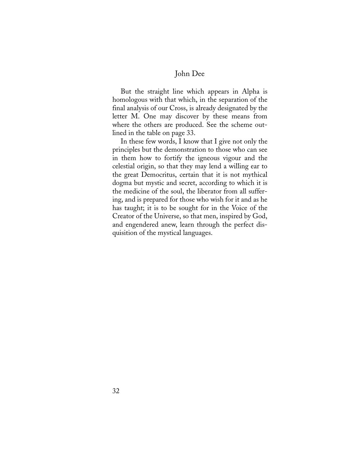But the straight line which appears in Alpha is homologous with that which, in the separation of the final analysis of our Cross, is already designated by the letter M. One may discover by these means from where the others are produced. See the scheme outlined in the table on page 33.

In these few words, I know that I give not only the principles but the demonstration to those who can see in them how to fortify the igneous vigour and the celestial origin, so that they may lend a willing ear to the great Democritus, certain that it is not mythical dogma but mystic and secret, according to which it is the medicine of the soul, the liberator from all suffering, and is prepared for those who wish for it and as he has taught; it is to be sought for in the Voice of the Creator of the Universe, so that men, inspired by God, and engendered anew, learn through the perfect disquisition of the mystical languages.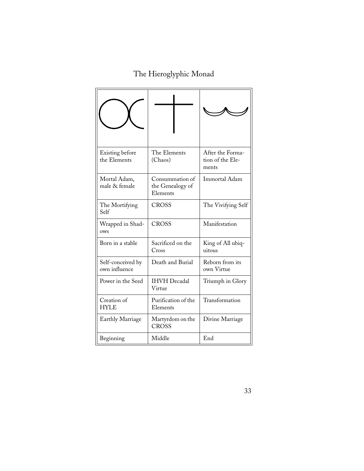| Existing before<br>the Elements    | The Elements<br>(Chaos)                         | After the Forma-<br>tion of the Ele-<br>ments |
|------------------------------------|-------------------------------------------------|-----------------------------------------------|
| Mortal Adam,<br>male & female      | Consummation of<br>the Genealogy of<br>Elements | <b>Immortal Adam</b>                          |
| The Mortifying<br>Self             | <b>CROSS</b>                                    | The Vivifying Self                            |
| Wrapped in Shad-<br><b>OWS</b>     | <b>CROSS</b>                                    | Manifestation                                 |
| Born in a stable                   | Sacrificed on the<br>Cross                      | King of All ubiq-<br>uitous                   |
| Self-conceived by<br>own influence | Death and Burial                                | Reborn from its<br>own Virtue                 |
| Power in the Seed                  | <b>IHVH</b> Decadal<br>Virtue                   | Triumph in Glory                              |
| Creation of<br><b>HYLE</b>         | Purification of the<br>Elements                 | Transformation                                |
| Earthly Marriage                   | Martyrdom on the<br><b>CROSS</b>                | Divine Marriage                               |
| Beginning                          | Middle                                          | End                                           |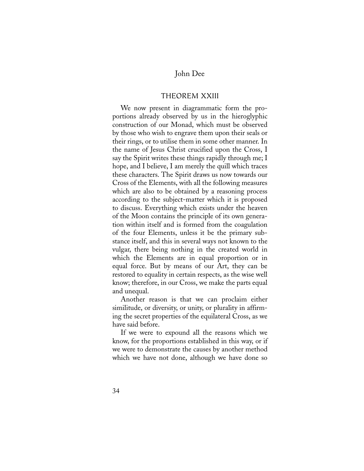#### THEOREM XXIII

We now present in diagrammatic form the proportions already observed by us in the hieroglyphic construction of our Monad, which must be observed by those who wish to engrave them upon their seals or their rings, or to utilise them in some other manner. In the name of Jesus Christ crucified upon the Cross, I say the Spirit writes these things rapidly through me; I hope, and I believe, I am merely the quill which traces these characters. The Spirit draws us now towards our Cross of the Elements, with all the following measures which are also to be obtained by a reasoning process according to the subject-matter which it is proposed to discuss. Everything which exists under the heaven of the Moon contains the principle of its own generation within itself and is formed from the coagulation of the four Elements, unless it be the primary substance itself, and this in several ways not known to the vulgar, there being nothing in the created world in which the Elements are in equal proportion or in equal force. But by means of our Art, they can be restored to equality in certain respects, as the wise well know; therefore, in our Cross, we make the parts equal and unequal.

Another reason is that we can proclaim either similitude, or diversity, or unity, or plurality in affirming the secret properties of the equilateral Cross, as we have said before.

If we were to expound all the reasons which we know, for the proportions established in this way, or if we were to demonstrate the causes by another method which we have not done, although we have done so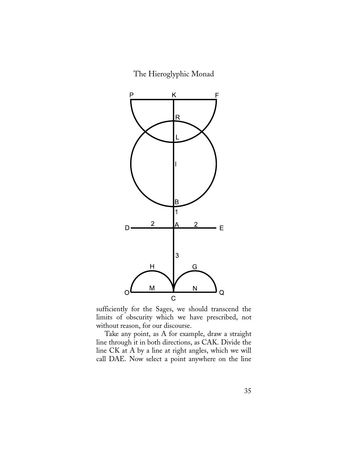

sufficiently for the Sages, we should transcend the limits of obscurity which we have prescribed, not without reason, for our discourse.

Take any point, as A for example, draw a straight line through it in both directions, as CAK. Divide the line CK at A by a line at right angles, which we will call DAE. Now select a point anywhere on the line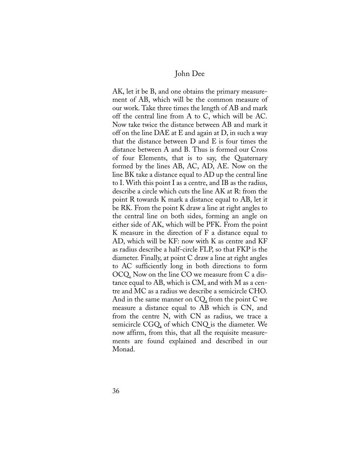AK, let it be B, and one obtains the primary measurement of AB, which will be the common measure of our work. Take three times the length of AB and mark off the central line from A to C, which will be AC. Now take twice the distance between AB and mark it off on the line DAE at E and again at D, in such a way that the distance between D and E is four times the distance between A and B. Thus is formed our Cross of four Elements, that is to say, the Quaternary formed by the lines AB, AC, AD, AE. Now on the line BK take a distance equal to AD up the central line to I. With this point I as a centre, and IB as the radius, describe a circle which cuts the line AK at R: from the point R towards K mark a distance equal to AB, let it be RK. From the point K draw a line at right angles to the central line on both sides, forming an angle on either side of AK, which will be PFK. From the point K measure in the direction of F a distance equal to AD, which will be KF: now with K as centre and KF as radius describe a half-circle FLP, so that FKP is the diameter. Finally, at point C draw a line at right angles to AC sufficiently long in both directions to form OCQ. Now on the line CO we measure from C a distance equal to AB, which is CM, and with M as a centre and MC as a radius we describe a semicircle CHO. And in the same manner on CQ, from the point C we measure a distance equal to AB which is CN, and from the centre N, with CN as radius, we trace a semicircle CGQ, of which CNQ is the diameter. We now affirm, from this, that all the requisite measurements are found explained and described in our Monad.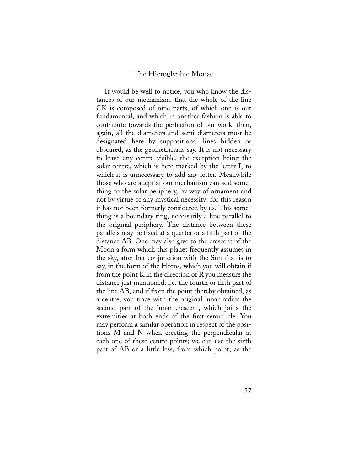It would be well to notice, you who know the distances of our mechanism, that the whole of the line CK is composed of nine parts, of which one is our fundamental, and which in another fashion is able to contribute towards the perfection of our work: then, again, all the diameters and semi-diameters must be designated here by suppositional lines hidden or obscured, as the geometricians say. It is not necessary to leave any centre visible, the exception being the solar centre, which is here marked by the letter I, to which it is unnecessary to add any letter. Meanwhile those who are adept at our mechanism can add something to the solar periphery, by way of ornament and not by virtue of any mystical necessity: for this reason it has not been formerly considered by us. This something is a boundary ring, necessarily a line parallel to the original periphery. The distance between these parallels may be fixed at a quarter or a fifth part of the distance AB. One may also give to the crescent of the Moon a form which this planet frequently assumes in the sky, after her conjunction with the Sun-that is to say, in the form of the Horns, which you will obtain if from the point K in the direction of R you measure the distance just mentioned, i.e. the fourth or fifth part of the line AB, and if from the point thereby obtained, as a centre, you trace with the original lunar radius the second part of the lunar crescent, which joins the extremities at both ends of the first semicircle. You may perform a similar operation in respect of the positions M and N when erecting the perpendicular at each one of these centre points; we can use the sixth part of AB or a little less, from which point, as the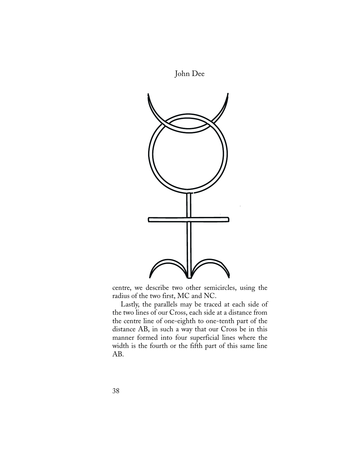



centre, we describe two other semicircles, using the radius of the two first, MC and NC.

Lastly, the parallels may be traced at each side of the two lines of our Cross, each side at a distance from the centre line of one-eighth to one-tenth part of the distance AB, in such a way that our Cross be in this manner formed into four superficial lines where the width is the fourth or the fifth part of this same line AB.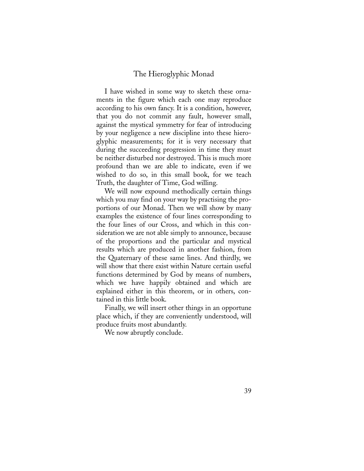I have wished in some way to sketch these ornaments in the figure which each one may reproduce according to his own fancy. It is a condition, however, that you do not commit any fault, however small, against the mystical symmetry for fear of introducing by your negligence a new discipline into these hieroglyphic measurements; for it is very necessary that during the succeeding progression in time they must be neither disturbed nor destroyed. This is much more profound than we are able to indicate, even if we wished to do so, in this small book, for we teach Truth, the daughter of Time, God willing.

We will now expound methodically certain things which you may find on your way by practising the proportions of our Monad. Then we will show by many examples the existence of four lines corresponding to the four lines of our Cross, and which in this consideration we are not able simply to announce, because of the proportions and the particular and mystical results which are produced in another fashion, from the Quaternary of these same lines. And thirdly, we will show that there exist within Nature certain useful functions determined by God by means of numbers, which we have happily obtained and which are explained either in this theorem, or in others, contained in this little book.

Finally, we will insert other things in an opportune place which, if they are conveniently understood, will produce fruits most abundantly.

We now abruptly conclude.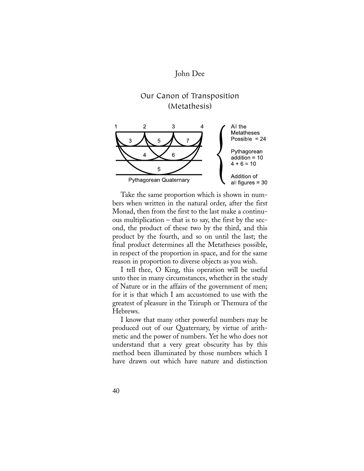## Our Canon of Transposition (Metathesis)



Take the same proportion which is shown in numbers when written in the natural order, after the first Monad, then from the first to the last make a continuous multiplication – that is to say, the first by the second, the product of these two by the third, and this product by the fourth, and so on until the last; the final product determines all the Metatheses possible, in respect of the proportion in space, and for the same reason in proportion to diverse objects as you wish.

I tell thee, O King, this operation will be useful unto thee in many circumstances, whether in the study of Nature or in the affairs of the government of men; for it is that which I am accustomed to use with the greatest of pleasure in the Tziruph or Themura of the Hebrews.

I know that many other powerful numbers may be produced out of our Quaternary, by virtue of arithmetic and the power of numbers. Yet he who does not understand that a very great obscurity has by this method been illuminated by those numbers which I have drawn out which have nature and distinction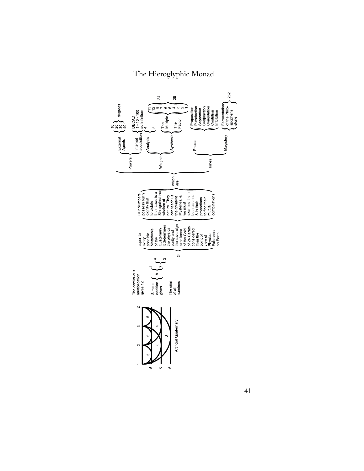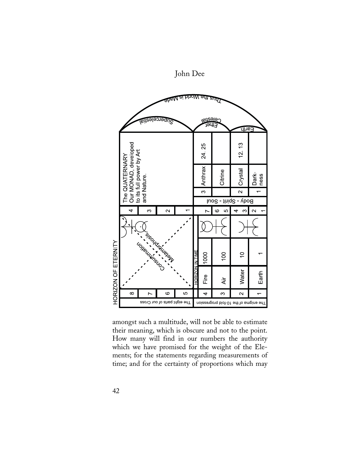John Dee



amongst such a multitude, will not be able to estimate their meaning, which is obscure and not to the point. How many will find in our numbers the authority which we have promised for the weight of the Elements; for the statements regarding measurements of time; and for the certainty of proportions which may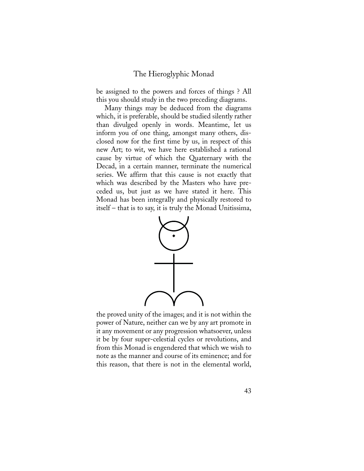be assigned to the powers and forces of things ? All this you should study in the two preceding diagrams.

Many things may be deduced from the diagrams which, it is preferable, should be studied silently rather than divulged openly in words. Meantime, let us inform you of one thing, amongst many others, disclosed now for the first time by us, in respect of this new Art; to wit, we have here established a rational cause by virtue of which the Quaternary with the Decad, in a certain manner, terminate the numerical series. We affirm that this cause is not exactly that which was described by the Masters who have preceded us, but just as we have stated it here. This Monad has been integrally and physically restored to itself – that is to say, it is truly the Monad Unitissima,



the proved unity of the images; and it is not within the power of Nature, neither can we by any art promote in it any movement or any progression whatsoever, unless it be by four super-celestial cycles or revolutions, and from this Monad is engendered that which we wish to note as the manner and course of its eminence; and for this reason, that there is not in the elemental world,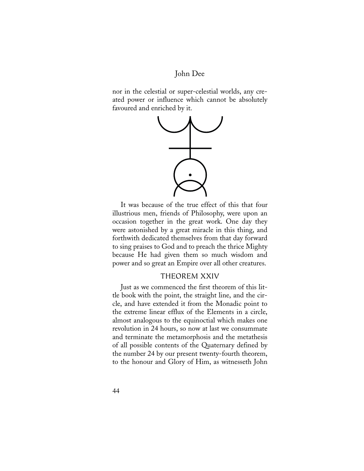nor in the celestial or super-celestial worlds, any created power or influence which cannot be absolutely favoured and enriched by it.



It was because of the true effect of this that four illustrious men, friends of Philosophy, were upon an occasion together in the great work. One day they were astonished by a great miracle in this thing, and forthwith dedicated themselves from that day forward to sing praises to God and to preach the thrice Mighty because He had given them so much wisdom and power and so great an Empire over all other creatures.

#### THEOREM XXIV

Just as we commenced the first theorem of this little book with the point, the straight line, and the circle, and have extended it from the Monadic point to the extreme linear efflux of the Elements in a circle, almost analogous to the equinoctial which makes one revolution in 24 hours, so now at last we consummate and terminate the metamorphosis and the metathesis of all possible contents of the Quaternary defined by the number 24 by our present twenty-fourth theorem, to the honour and Glory of Him, as witnesseth John